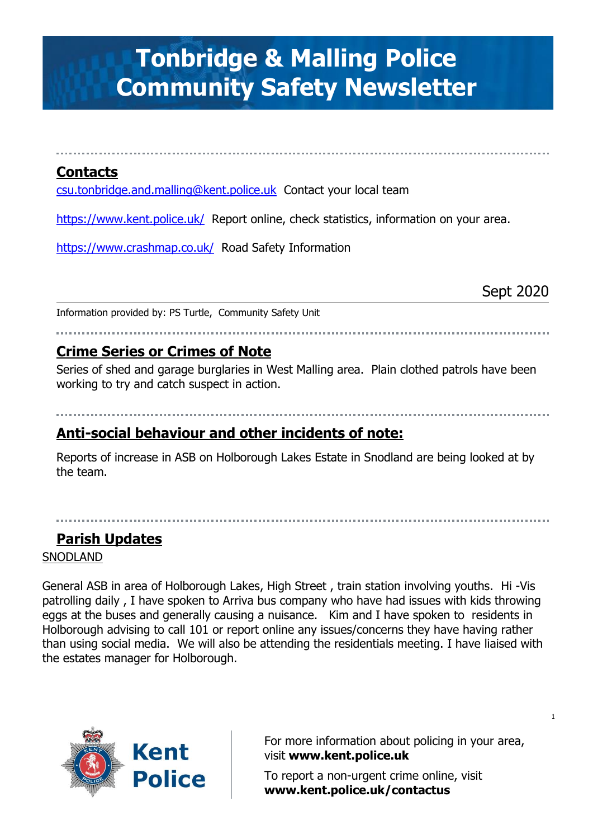# **Tonbridge & Malling Police Community Safety Newsletter**

## **Contacts**

[csu.tonbridge.and.malling@kent.police.uk](mailto:csu.tonbridge.and.malling@kent.police.uk) Contact your local team

<https://www.kent.police.uk/>Report online, check statistics, information on your area.

<https://www.crashmap.co.uk/>Road Safety Information

Sept 2020

1

Information provided by: PS Turtle, Community Safety Unit

## **Crime Series or Crimes of Note**

Series of shed and garage burglaries in West Malling area. Plain clothed patrols have been working to try and catch suspect in action.

## **Anti-social behaviour and other incidents of note:**

Reports of increase in ASB on Holborough Lakes Estate in Snodland are being looked at by the team.

## **Parish Updates**

SNODLAND

General ASB in area of Holborough Lakes, High Street , train station involving youths. Hi -Vis patrolling daily , I have spoken to Arriva bus company who have had issues with kids throwing eggs at the buses and generally causing a nuisance. Kim and I have spoken to residents in Holborough advising to call 101 or report online any issues/concerns they have having rather than using social media. We will also be attending the residentials meeting. I have liaised with the estates manager for Holborough.



For more information about policing in your area, visit **[www.kent.police.uk](http://www.kent.police.uk/)**

To report a non-urgent crime online, visit **www.kent.police.uk/contactus**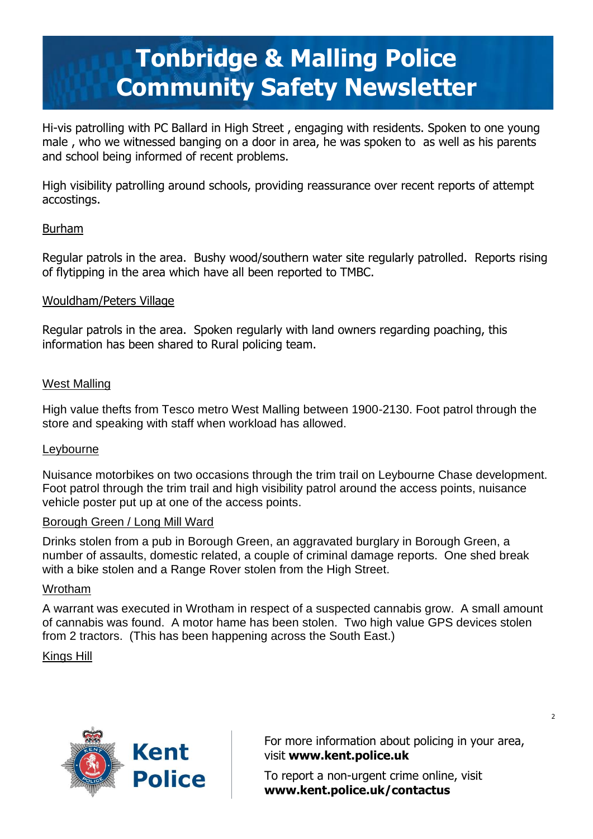# **Tonbridge & Malling Police Community Safety Newsletter**

Hi-vis patrolling with PC Ballard in High Street , engaging with residents. Spoken to one young male , who we witnessed banging on a door in area, he was spoken to as well as his parents and school being informed of recent problems.

High visibility patrolling around schools, providing reassurance over recent reports of attempt accostings.

### Burham

Regular patrols in the area. Bushy wood/southern water site regularly patrolled. Reports rising of flytipping in the area which have all been reported to TMBC.

### Wouldham/Peters Village

Regular patrols in the area. Spoken regularly with land owners regarding poaching, this information has been shared to Rural policing team.

### West Malling

High value thefts from Tesco metro West Malling between 1900-2130. Foot patrol through the store and speaking with staff when workload has allowed.

### **Leybourne**

Nuisance motorbikes on two occasions through the trim trail on Leybourne Chase development. Foot patrol through the trim trail and high visibility patrol around the access points, nuisance vehicle poster put up at one of the access points.

### Borough Green / Long Mill Ward

Drinks stolen from a pub in Borough Green, an aggravated burglary in Borough Green, a number of assaults, domestic related, a couple of criminal damage reports. One shed break with a bike stolen and a Range Rover stolen from the High Street.

### Wrotham

A warrant was executed in Wrotham in respect of a suspected cannabis grow. A small amount of cannabis was found. A motor hame has been stolen. Two high value GPS devices stolen from 2 tractors. (This has been happening across the South East.)

### Kings Hill



For more information about policing in your area, visit **[www.kent.police.uk](http://www.kent.police.uk/)**

To report a non-urgent crime online, visit **www.kent.police.uk/contactus**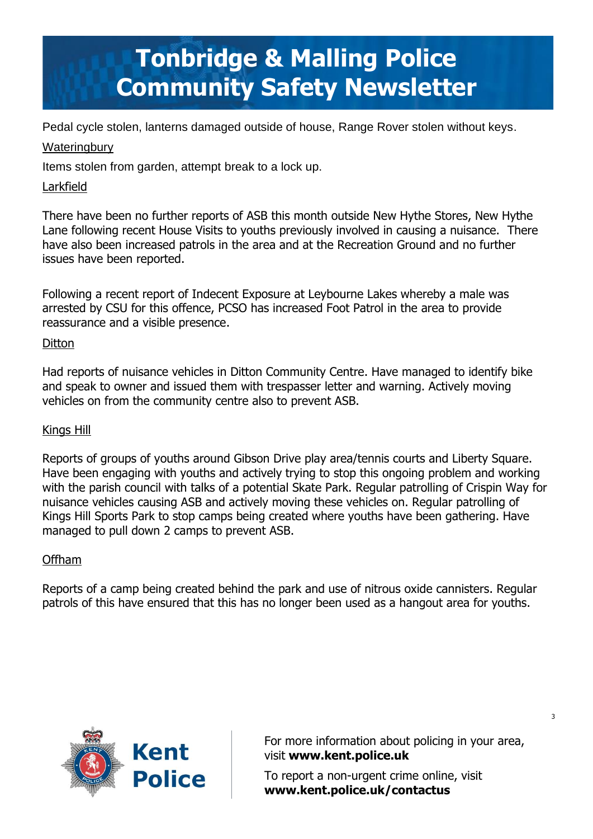# **Tonbridge & Malling Police Community Safety Newsletter**

Pedal cycle stolen, lanterns damaged outside of house, Range Rover stolen without keys.

## **Wateringbury**

Items stolen from garden, attempt break to a lock up.

## Larkfield

There have been no further reports of ASB this month outside New Hythe Stores, New Hythe Lane following recent House Visits to youths previously involved in causing a nuisance. There have also been increased patrols in the area and at the Recreation Ground and no further issues have been reported.

Following a recent report of Indecent Exposure at Leybourne Lakes whereby a male was arrested by CSU for this offence, PCSO has increased Foot Patrol in the area to provide reassurance and a visible presence.

## **Ditton**

Had reports of nuisance vehicles in Ditton Community Centre. Have managed to identify bike and speak to owner and issued them with trespasser letter and warning. Actively moving vehicles on from the community centre also to prevent ASB.

### Kings Hill

Reports of groups of youths around Gibson Drive play area/tennis courts and Liberty Square. Have been engaging with youths and actively trying to stop this ongoing problem and working with the parish council with talks of a potential Skate Park. Regular patrolling of Crispin Way for nuisance vehicles causing ASB and actively moving these vehicles on. Regular patrolling of Kings Hill Sports Park to stop camps being created where youths have been gathering. Have managed to pull down 2 camps to prevent ASB.

### Offham

Reports of a camp being created behind the park and use of nitrous oxide cannisters. Regular patrols of this have ensured that this has no longer been used as a hangout area for youths.



For more information about policing in your area, visit **[www.kent.police.uk](http://www.kent.police.uk/)**

To report a non-urgent crime online, visit **www.kent.police.uk/contactus**